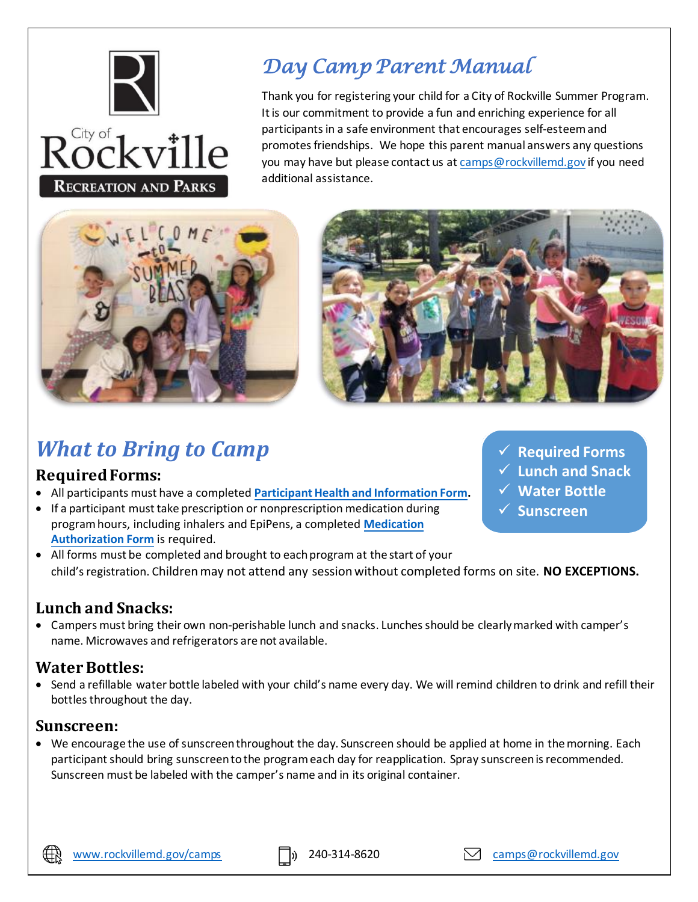

# *Day Camp Parent Manual*

Thank you for registering your child for a City of Rockville Summer Program. It is our commitment to provide a fun and enriching experience for all participants in a safe environment that encourages self-esteem and promotes friendships. We hope this parent manual answers any questions you may have but please contact us a[t camps@rockvillemd.gov](mailto:camps@rockvillemd.gov) if you need additional assistance.





# *What to Bring to Camp*

#### **Required Forms:**

- All participants must have a completed **[Participant Health and Information Form](https://www.rockvillemd.gov/DocumentCenter/View/130/Participant-Health-and-Information-Form).**
- If a participant must take prescription or nonprescription medication during program hours, including inhalers and EpiPens, a completed **[Medication](https://www.rockvillemd.gov/DocumentCenter/View/28435/2018-Fillable-Medication-Administration-Authorization-Form?bidId=) [Authorization Form](https://www.rockvillemd.gov/DocumentCenter/View/28435/2018-Fillable-Medication-Administration-Authorization-Form?bidId=)** is required.
- ✓ **Required Forms**
	- ✓ **Lunch and Snack**
- ✓ **Water Bottle**
- ✓ **Sunscreen**
- All forms must be completed and brought to each program at the start of your child's registration. Children may not attend any session without completed forms on site. **NO EXCEPTIONS.**

# **Lunch and Snacks:**

• Campers must bring their own non-perishable lunch and snacks. Lunches should be clearly marked with camper's name. Microwaves and refrigerators are not available.

# **Water Bottles:**

• Send a refillable water bottle labeled with your child's name every day. We will remind children to drink and refill their bottles throughout the day.

#### **Sunscreen:**

• We encourage the use of sunscreen throughout the day. Sunscreen should be applied at home in the morning. Each participant should bring sunscreen to the program each day for reapplication. Spray sunscreen is recommended. Sunscreen must be labeled with the camper's name and in its original container.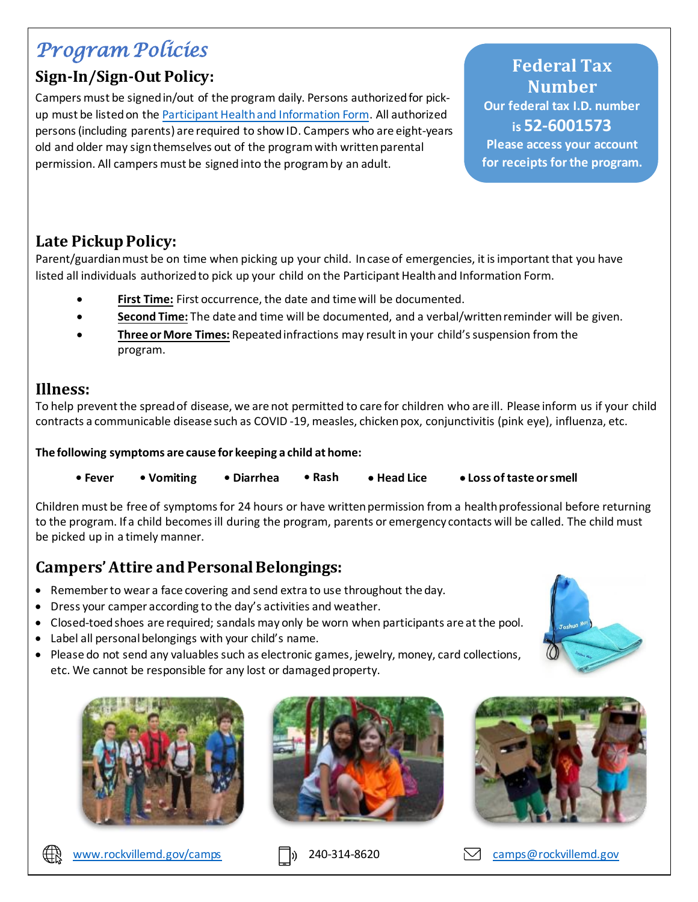# *Program Policies*

# **Sign-In/Sign-Out Policy:**

Campers must be signed in/out of the program daily. Persons authorized for pickup must be listed on the [Participant Health and Information Form.](https://na3.docusign.net/Member/PowerFormSigning.aspx?PowerFormId=5672a363-8579-4d1c-8c5e-b749b1697684&env=na3&acct=b56266c3-6d22-426a-8422-e01bcbb466ec&v=2) All authorized persons (including parents) are required to show ID. Campers who are eight-years old and older may sign themselves out of the program with written parental permission. All campers must be signed into the program by an adult.

**Federal Tax Number Our federal tax I.D. number is 52-6001573 Please access your account for receipts for the program.**

### **Late Pickup Policy:**

Parent/guardian must be on time when picking up your child. In case of emergencies, it is important that you have listed all individuals authorized to pick up your child on the Participant Health and Information Form.

- First Time: First occurrence, the date and time will be documented.
- **Second Time:** The date and time will be documented, and a verbal/written reminder will be given.
- **Three or More Times:** Repeated infractions may result in your child's suspension from the program.

#### **Illness:**

To help prevent the spread of disease, we are not permitted to care for children who are ill. Please inform us if your child contracts a communicable disease such as COVID -19, measles, chicken pox, conjunctivitis (pink eye), influenza, etc.

**The following symptoms are cause for keeping a child at home:** 

**• Fever • Vomiting • Diarrhea • Rash** • **Head Lice** • **Loss of taste or smell**

Children must be free of symptoms for 24 hours or have written permission from a health professional before returning to the program. If a child becomes ill during the program, parents or emergency contacts will be called. The child must be picked up in a timely manner.

# **Campers' Attire and Personal Belongings:**

- Remember to wear a face covering and send extra to use throughout the day.
- Dress your camper according to the day's activities and weather.
- Closed-toed shoes are required; sandals may only be worn when participants are at the pool.
- Label all personal belongings with your child's name.
- Please do not send any valuables such as electronic games, jewelry, money, card collections, etc. We cannot be responsible for any lost or damaged property.









[www.rockvillemd.gov/camps](http://www.rockvillemd.gov/camps)  [camps@rockvillemd.gov](mailto:camps@rockvillemd.gov)









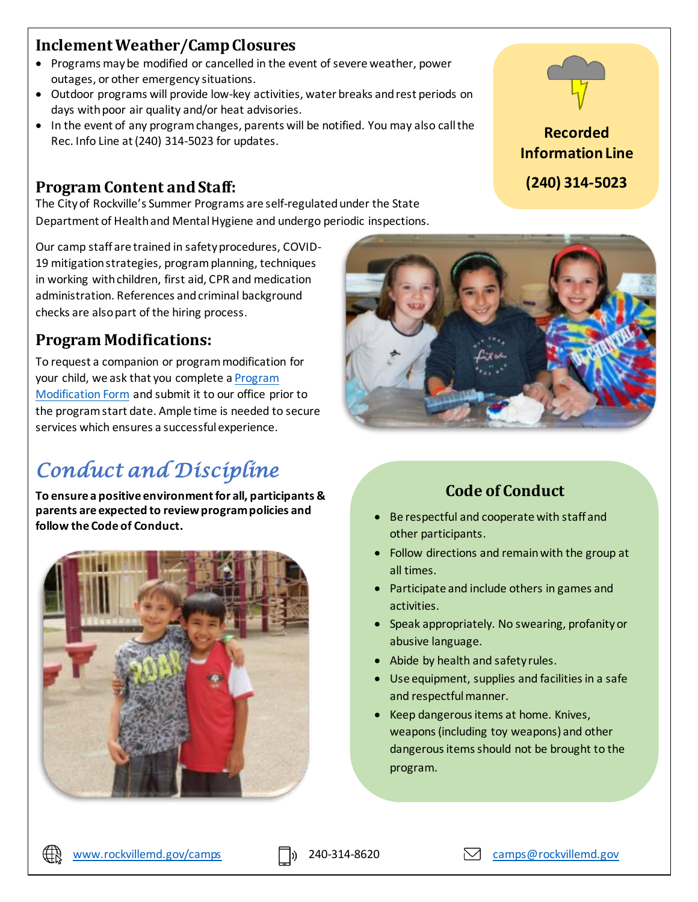# **Inclement Weather/Camp Closures**

- Programs may be modified or cancelled in the event of severe weather, power outages, or other emergency situations.
- Outdoor programs will provide low-key activities, water breaks and rest periods on days with poor air quality and/or heat advisories.
- In the event of any program changes, parents will be notified. You may also call the Rec. Info Line at (240) 314-5023 for updates.

#### **Program Content and Staff:**

The City of Rockville's Summer Programs are self-regulated under the State Department of Health and Mental Hygiene and undergo periodic inspections.

Our camp staff are trained in safety procedures, COVID-19 mitigation strategies, program planning, techniques in working with children, first aid, CPR and medication administration. References and criminal background checks are also part of the hiring process.

### **Program Modifications:**

To request a companion or program modification for your child, we ask that you complete a [Program](https://www.rockvillemd.gov/DocumentCenter/View/38749/Program-Modification-Form)  [Modification Form](https://www.rockvillemd.gov/DocumentCenter/View/38749/Program-Modification-Form) and submit it to our office prior to the program start date. Ample time is needed to secure services which ensures a successful experience.

# *Conduct and Discipline*

**To ensure a positive environment for all, participants & parents are expected to review program policies and follow the Code of Conduct.** 







### **Code of Conduct**

- Be respectful and cooperate with staff and other participants.
- Follow directions and remain with the group at all times.
- Participate and include others in games and activities.
- Speak appropriately. No swearing, profanity or abusive language.
- Abide by health and safety rules.
- Use equipment, supplies and facilities in a safe and respectful manner.
- Keep dangerous items at home. Knives, weapons (including toy weapons) and other dangerous items should not be brought to the program.